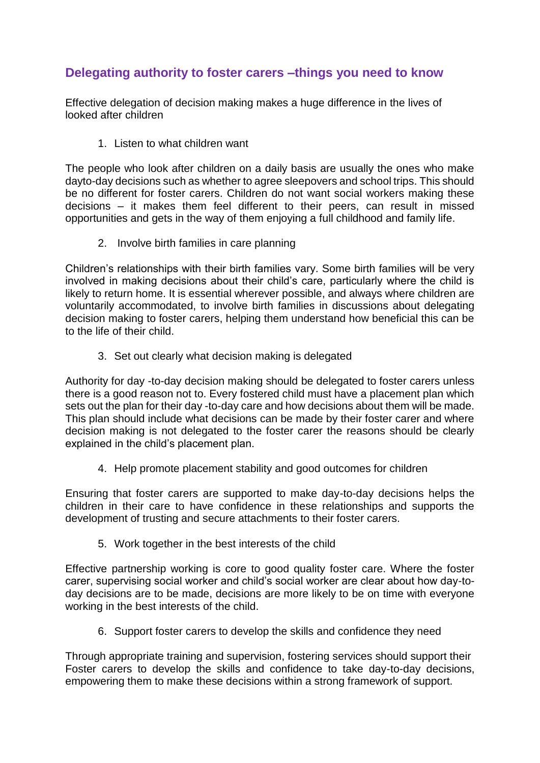## **Delegating authority to foster carers –things you need to know**

Effective delegation of decision making makes a huge difference in the lives of looked after children

1. Listen to what children want

The people who look after children on a daily basis are usually the ones who make dayto-day decisions such as whether to agree sleepovers and school trips. This should be no different for foster carers. Children do not want social workers making these decisions – it makes them feel different to their peers, can result in missed opportunities and gets in the way of them enjoying a full childhood and family life.

2. Involve birth families in care planning

Children's relationships with their birth families vary. Some birth families will be very involved in making decisions about their child's care, particularly where the child is likely to return home. It is essential wherever possible, and always where children are voluntarily accommodated, to involve birth families in discussions about delegating decision making to foster carers, helping them understand how beneficial this can be to the life of their child.

3. Set out clearly what decision making is delegated

Authority for day -to-day decision making should be delegated to foster carers unless there is a good reason not to. Every fostered child must have a placement plan which sets out the plan for their day -to-day care and how decisions about them will be made. This plan should include what decisions can be made by their foster carer and where decision making is not delegated to the foster carer the reasons should be clearly explained in the child's placement plan.

4. Help promote placement stability and good outcomes for children

Ensuring that foster carers are supported to make day-to-day decisions helps the children in their care to have confidence in these relationships and supports the development of trusting and secure attachments to their foster carers.

5. Work together in the best interests of the child

Effective partnership working is core to good quality foster care. Where the foster carer, supervising social worker and child's social worker are clear about how day-today decisions are to be made, decisions are more likely to be on time with everyone working in the best interests of the child.

6. Support foster carers to develop the skills and confidence they need

Through appropriate training and supervision, fostering services should support their Foster carers to develop the skills and confidence to take day-to-day decisions, empowering them to make these decisions within a strong framework of support.